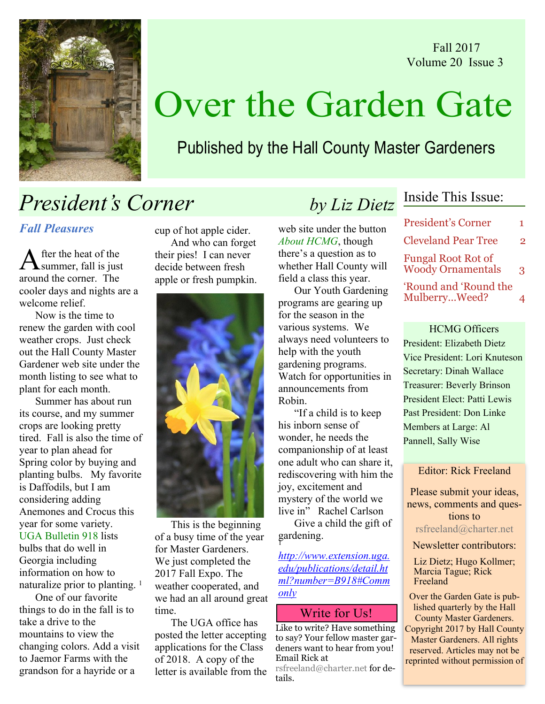



# Over the Garden Gate

### Published by the Hall County Master Gardeners

## President's Corner by Liz Dietz

#### Fall Pleasures

fter the heat of the summer, fall is just around the corner. The cooler days and nights are a welcome relief

Now is the time to renew the garden with cool weather crops. Just check out the Hall County Master Gardener web site under the month listing to see what to plant for each month.

Summer has about run its course, and my summer crops are looking pretty tired. Fall is also the time of year to plan ahead for Spring color by buying and planting bulbs. My favorite is Daffodils, but I am considering adding Anemones and Crocus this year for some variety. UGA Bulletin 918 lists bulbs that do well in Georgia including

information on how to naturalize prior to planting. <sup>1</sup>

 One of our favorite things to do in the fall is to take a drive to the mountains to view the changing colors. Add a visit to Jaemor Farms with the grandson for a hayride or a

cup of hot apple cider. And who can forget their pies! I can never decide between fresh apple or fresh pumpkin.



This is the beginning of a busy time of the year for Master Gardeners. We just completed the 2017 Fall Expo. The weather cooperated, and we had an all around great time.

The UGA office has posted the letter accepting applications for the Class of 2018. A copy of the letter is available from the

web site under the button About HCMG, though there's a question as to whether Hall County will field a class this year.

Our Youth Gardening programs are gearing up for the season in the various systems. We always need volunteers to help with the youth gardening programs. Watch for opportunities in announcements from Robin.

"If a child is to keep his inborn sense of wonder, he needs the companionship of at least one adult who can share it, rediscovering with him the joy, excitement and mystery of the world we live in" Rachel Carlson

 Give a child the gift of gardening. 1

http://www.extension.uga. edu/publications/detail.ht ml?number=B918#Comm only

#### Write for Us!

Like to write? Have something to say? Your fellow master gardeners want to hear from you! Email Rick at

rsfreeland@charter.net for details.

### Inside This Issue:

| <b>President's Corner</b>                             | 1. |
|-------------------------------------------------------|----|
| <b>Cleveland Pear Tree</b>                            | 2  |
| <b>Fungal Root Rot of</b><br><b>Woody Ornamentals</b> | 3  |
| 'Round and 'Round the<br>MulberryWeed?                |    |

HCMG Officers President: Elizabeth Dietz Vice President: Lori Knuteson Secretary: Dinah Wallace Treasurer: Beverly Brinson President Elect: Patti Lewis Past President: Don Linke Members at Large: Al Pannell, Sally Wise

Editor: Rick Freeland

Please submit your ideas, news, comments and questions to rsfreeland@charter.net

Newsletter contributors:

Liz Dietz; Hugo Kollmer; Marcia Tague; Rick Freeland

Over the Garden Gate is published quarterly by the Hall County Master Gardeners. Copyright 2017 by Hall County Master Gardeners. All rights reserved. Articles may not be reprinted without permission of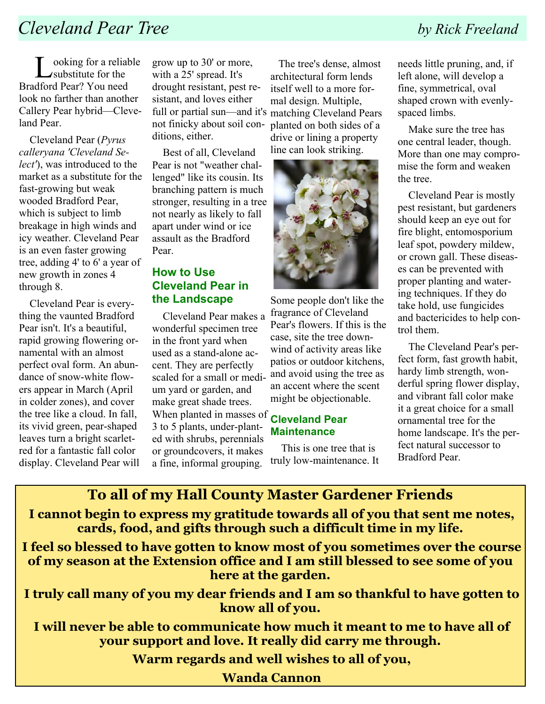## **Cleveland Pear Tree** by Rick Freeland

ooking for a reliable substitute for the Bradford Pear? You need look no farther than another Callery Pear hybrid—Cleveland Pear.

 Cleveland Pear (Pyrus calleryana 'Cleveland Select'), was introduced to the market as a substitute for the fast-growing but weak wooded Bradford Pear, which is subject to limb. breakage in high winds and icy weather. Cleveland Pear is an even faster growing tree, adding 4' to 6' a year of new growth in zones 4 through 8.

 Cleveland Pear is everything the vaunted Bradford Pear isn't. It's a beautiful, rapid growing flowering ornamental with an almost perfect oval form. An abundance of snow-white flowers appear in March (April in colder zones), and cover the tree like a cloud. In fall, its vivid green, pear-shaped leaves turn a bright scarletred for a fantastic fall color display. Cleveland Pear will grow up to 30' or more, with a 25' spread. It's drought resistant, pest resistant, and loves either full or partial sun—and it's matching Cleveland Pears not finicky about soil conditions, either.

 Best of all, Cleveland Pear is not "weather challenged" like its cousin. Its branching pattern is much stronger, resulting in a tree not nearly as likely to fall apart under wind or ice assault as the Bradford Pear.

#### How to Use Cleveland Pear in the Landscape

 Cleveland Pear makes a wonderful specimen tree in the front yard when used as a stand-alone accent. They are perfectly scaled for a small or medium yard or garden, and make great shade trees. When planted in masses of **Cleveland Pear** 3 to 5 plants, under-planted with shrubs, perennials or groundcovers, it makes a fine, informal grouping.

 The tree's dense, almost architectural form lends itself well to a more formal design. Multiple, planted on both sides of a drive or lining a property line can look striking.



Some people don't like the fragrance of Cleveland Pear's flowers. If this is the case, site the tree downwind of activity areas like patios or outdoor kitchens, and avoid using the tree as an accent where the scent might be objectionable.

## **Maintenance**

 This is one tree that is truly low-maintenance. It

needs little pruning, and, if left alone, will develop a fine, symmetrical, oval shaped crown with evenlyspaced limbs.

 Make sure the tree has one central leader, though. More than one may compromise the form and weaken the tree.

 Cleveland Pear is mostly pest resistant, but gardeners should keep an eye out for fire blight, entomosporium leaf spot, powdery mildew, or crown gall. These diseases can be prevented with proper planting and watering techniques. If they do take hold, use fungicides and bactericides to help control them.

 The Cleveland Pear's perfect form, fast growth habit, hardy limb strength, wonderful spring flower display, and vibrant fall color make it a great choice for a small ornamental tree for the home landscape. It's the perfect natural successor to Bradford Pear.

### To all of my Hall County Master Gardener Friends

I cannot begin to express my gratitude towards all of you that sent me notes, cards, food, and gifts through such a difficult time in my life.

I feel so blessed to have gotten to know most of you sometimes over the course of my season at the Extension office and I am still blessed to see some of you here at the garden.

I truly call many of you my dear friends and I am so thankful to have gotten to know all of you.

I will never be able to communicate how much it meant to me to have all of your support and love. It really did carry me through.

Warm regards and well wishes to all of you,

Wanda Cannon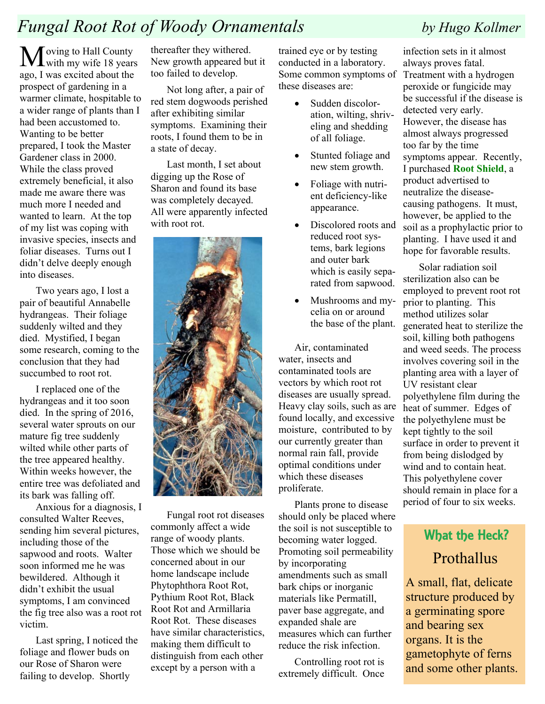## Fungal Root Rot of Woody Ornamentals by Hugo Kollmer

 $M_{\text{with my wife 18 years}}$ ago, I was excited about the prospect of gardening in a warmer climate, hospitable to a wider range of plants than I had been accustomed to. Wanting to be better prepared, I took the Master Gardener class in 2000. While the class proved extremely beneficial, it also made me aware there was much more I needed and wanted to learn. At the top of my list was coping with invasive species, insects and foliar diseases. Turns out I didn't delve deeply enough into diseases.

Two years ago, I lost a pair of beautiful Annabelle hydrangeas. Their foliage suddenly wilted and they died. Mystified, I began some research, coming to the conclusion that they had succumbed to root rot.

I replaced one of the hydrangeas and it too soon died. In the spring of 2016, several water sprouts on our mature fig tree suddenly wilted while other parts of the tree appeared healthy. Within weeks however, the entire tree was defoliated and its bark was falling off.

 Anxious for a diagnosis, I consulted Walter Reeves, sending him several pictures, including those of the sapwood and roots. Walter soon informed me he was bewildered. Although it didn't exhibit the usual symptoms, I am convinced the fig tree also was a root rot victim.

Last spring, I noticed the foliage and flower buds on our Rose of Sharon were failing to develop. Shortly

thereafter they withered. New growth appeared but it too failed to develop.

Not long after, a pair of red stem dogwoods perished after exhibiting similar symptoms. Examining their roots, I found them to be in a state of decay.

Last month, I set about digging up the Rose of Sharon and found its base was completely decayed. All were apparently infected with root rot.



Fungal root rot diseases commonly affect a wide range of woody plants. Those which we should be concerned about in our home landscape include Phytophthora Root Rot, Pythium Root Rot, Black Root Rot and Armillaria Root Rot. These diseases have similar characteristics, making them difficult to distinguish from each other except by a person with a

trained eye or by testing conducted in a laboratory. Some common symptoms of these diseases are:

- Sudden discoloration, wilting, shriveling and shedding of all foliage.
- Stunted foliage and new stem growth.
- Foliage with nutrient deficiency-like appearance.
- Discolored roots and reduced root systems, bark legions and outer bark which is easily separated from sapwood.
- ! Mushrooms and mycelia on or around the base of the plant.

Air, contaminated water, insects and contaminated tools are vectors by which root rot diseases are usually spread. Heavy clay soils, such as are found locally, and excessive moisture, contributed to by our currently greater than normal rain fall, provide optimal conditions under which these diseases proliferate.

Plants prone to disease should only be placed where the soil is not susceptible to becoming water logged. Promoting soil permeability by incorporating amendments such as small bark chips or inorganic materials like Permatill, paver base aggregate, and expanded shale are measures which can further reduce the risk infection.

Controlling root rot is extremely difficult. Once

infection sets in it almost always proves fatal. Treatment with a hydrogen peroxide or fungicide may be successful if the disease is detected very early. However, the disease has almost always progressed too far by the time symptoms appear. Recently, I purchased Root Shield, a product advertised to neutralize the diseasecausing pathogens. It must, however, be applied to the soil as a prophylactic prior to planting. I have used it and hope for favorable results.

Solar radiation soil sterilization also can be employed to prevent root rot prior to planting. This method utilizes solar generated heat to sterilize the soil, killing both pathogens and weed seeds. The process involves covering soil in the planting area with a layer of UV resistant clear polyethylene film during the heat of summer. Edges of the polyethylene must be kept tightly to the soil surface in order to prevent it from being dislodged by wind and to contain heat. This polyethylene cover should remain in place for a period of four to six weeks.

## What the Heck? **Prothallus**

A small, flat, delicate structure produced by a germinating spore and bearing sex organs. It is the gametophyte of ferns and some other plants.